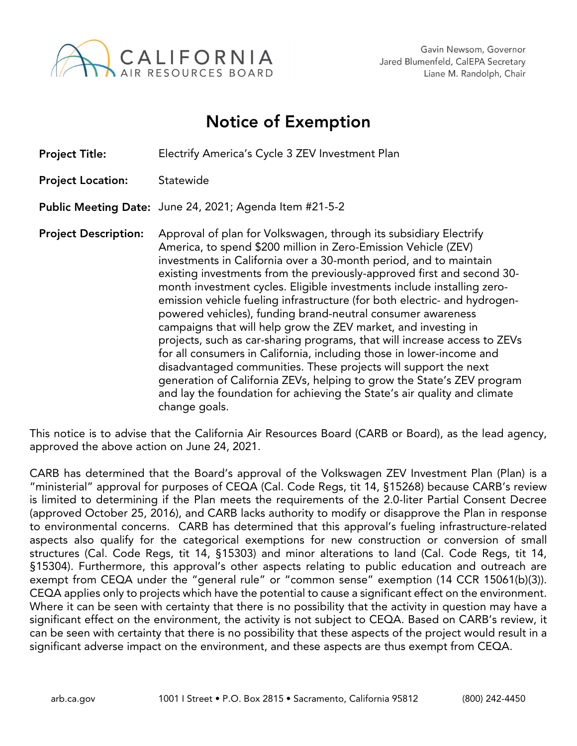

## Notice of Exemption

Project Title: Electrify America's Cycle 3 ZEV Investment Plan Project Location: Statewide Public Meeting Date: June 24, 2021; Agenda Item #21-5-2 Project Description: Approval of plan for Volkswagen, through its subsidiary Electrify America, to spend \$200 million in Zero-Emission Vehicle (ZEV) investments in California over a 30-month period, and to maintain existing investments from the previously-approved first and second 30 month investment cycles. Eligible investments include installing zeroemission vehicle fueling infrastructure (for both electric- and hydrogenpowered vehicles), funding brand-neutral consumer awareness campaigns that will help grow the ZEV market, and investing in projects, such as car-sharing programs, that will increase access to ZEVs for all consumers in California, including those in lower-income and disadvantaged communities. These projects will support the next generation of California ZEVs, helping to grow the State's ZEV program and lay the foundation for achieving the State's air quality and climate change goals.

This notice is to advise that the California Air Resources Board (CARB or Board), as the lead agency, approved the above action on June 24, 2021.

CARB has determined that the Board's approval of the Volkswagen ZEV Investment Plan (Plan) is a "ministerial" approval for purposes of CEQA (Cal. Code Regs, tit 14, §15268) because CARB's review is limited to determining if the Plan meets the requirements of the 2.0-liter Partial Consent Decree (approved October 25, 2016), and CARB lacks authority to modify or disapprove the Plan in response to environmental concerns. CARB has determined that this approval's fueling infrastructure-related aspects also qualify for the categorical exemptions for new construction or conversion of small structures (Cal. Code Regs, tit 14, §15303) and minor alterations to land (Cal. Code Regs, tit 14, §15304). Furthermore, this approval's other aspects relating to public education and outreach are exempt from CEQA under the "general rule" or "common sense" exemption (14 CCR 15061(b)(3)). CEQA applies only to projects which have the potential to cause a significant effect on the environment. Where it can be seen with certainty that there is no possibility that the activity in question may have a significant effect on the environment, the activity is not subject to CEQA. Based on CARB's review, it can be seen with certainty that there is no possibility that these aspects of the project would result in a significant adverse impact on the environment, and these aspects are thus exempt from CEQA.